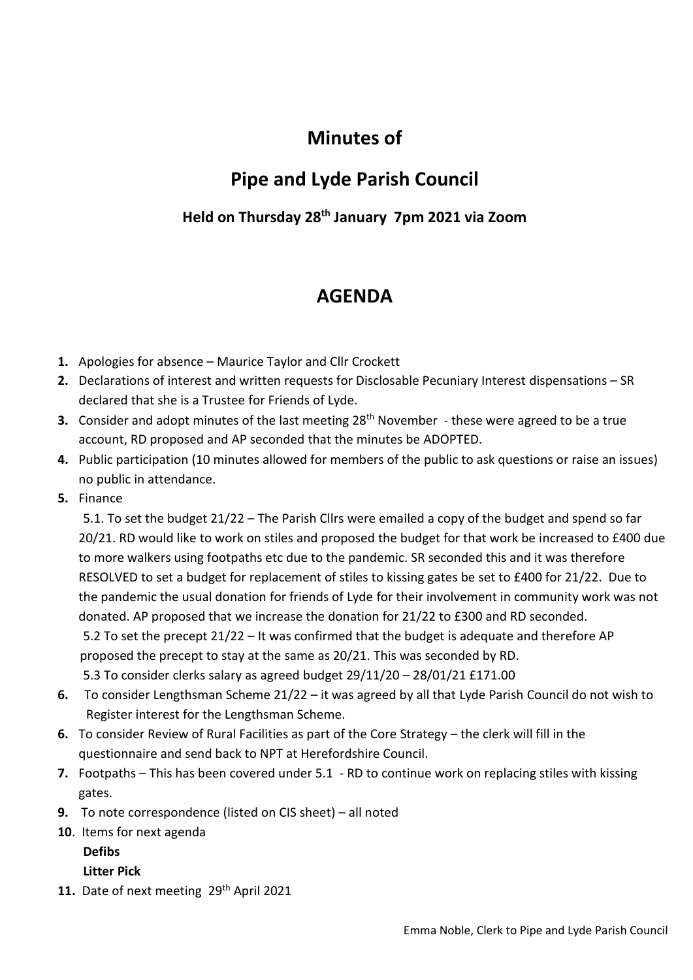# **Minutes of**

## **Pipe and Lyde Parish Council**

### **Held on Thursday 28th January 7pm 2021 via Zoom**

### **AGENDA**

- **1.** Apologies for absence Maurice Taylor and Cllr Crockett
- **2.** Declarations of interest and written requests for Disclosable Pecuniary Interest dispensations SR declared that she is a Trustee for Friends of Lyde.
- **3.** Consider and adopt minutes of the last meeting 28<sup>th</sup> November these were agreed to be a true account, RD proposed and AP seconded that the minutes be ADOPTED.
- **4.** Public participation (10 minutes allowed for members of the public to ask questions or raise an issues) no public in attendance.
- **5.** Finance

5.1. To set the budget 21/22 – The Parish Cllrs were emailed a copy of the budget and spend so far 20/21. RD would like to work on stiles and proposed the budget for that work be increased to £400 due to more walkers using footpaths etc due to the pandemic. SR seconded this and it was therefore RESOLVED to set a budget for replacement of stiles to kissing gates be set to £400 for 21/22. Due to the pandemic the usual donation for friends of Lyde for their involvement in community work was not donated. AP proposed that we increase the donation for 21/22 to £300 and RD seconded.

 5.2 To set the precept 21/22 – It was confirmed that the budget is adequate and therefore AP proposed the precept to stay at the same as 20/21. This was seconded by RD.

5.3 To consider clerks salary as agreed budget 29/11/20 – 28/01/21 £171.00

- **6.** To consider Lengthsman Scheme 21/22 it was agreed by all that Lyde Parish Council do not wish to Register interest for the Lengthsman Scheme.
- **6.** To consider Review of Rural Facilities as part of the Core Strategy the clerk will fill in the questionnaire and send back to NPT at Herefordshire Council.
- **7.** Footpaths This has been covered under 5.1 RD to continue work on replacing stiles with kissing gates.
- **9.** To note correspondence (listed on CIS sheet) all noted
- **10**. Items for next agenda

**Defibs**

#### **Litter Pick**

11. Date of next meeting 29<sup>th</sup> April 2021